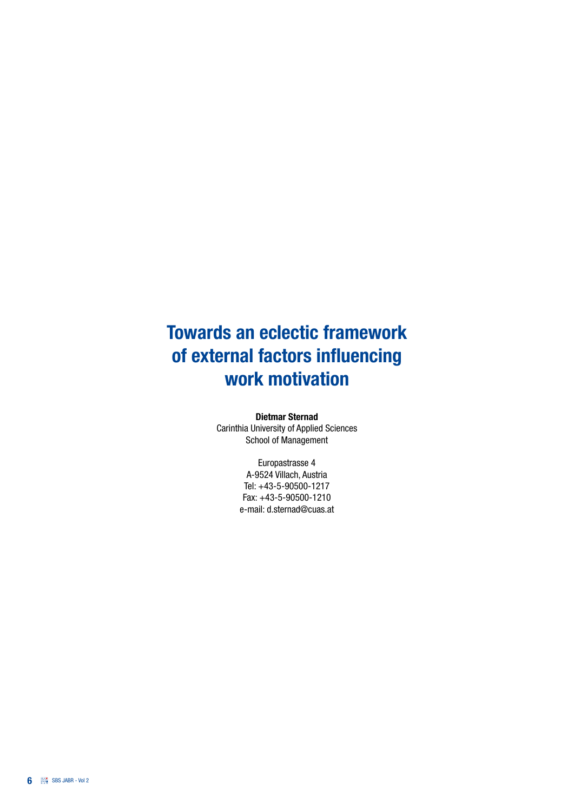# Towards an eclectic framework of external factors influencing work motivation

Dietmar Sternad

Carinthia University of Applied Sciences School of Management

> Europastrasse 4 A-9524 Villach, Austria Tel: +43-5-90500-1217 Fax: +43-5-90500-1210 e-mail: d.sternad@cuas.at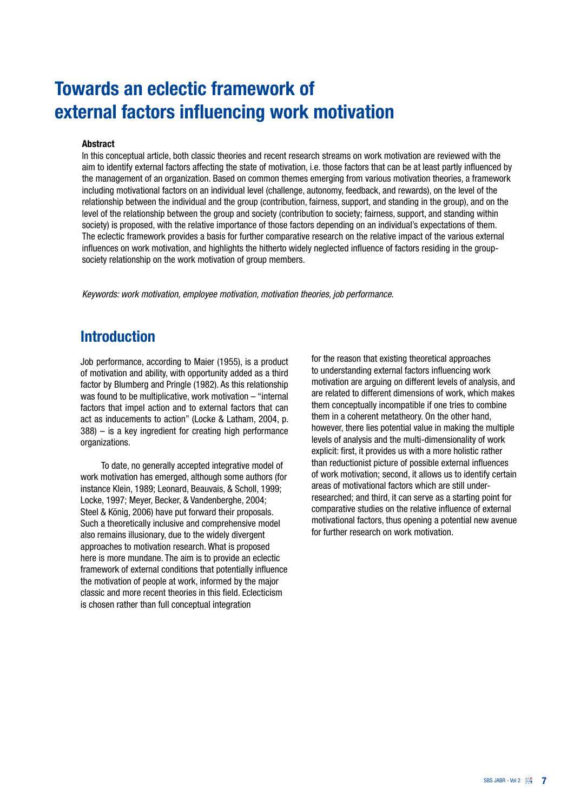## Towards an eclectic framework of external factors influencing work motivation

#### Abstract

In this conceptual article, both classic theories and recent research streams on work motivation are reviewed with the aim to identify external factors affecting the state of motivation, i.e. those factors that can be at least partly influenced by the management of an organization. Based on common themes emerging from various motivation theories, a framework including motivational factors on an individual level (challenge, autonomy, feedback, and rewards), on the level of the relationship between the individual and the group (contribution, fairness, support, and standing in the group), and on the level of the relationship between the group and society (contribution to society; fairness, support, and standing within society) is proposed, with the relative importance of those factors depending on an individual's expectations of them. The eclectic framework provides a basis for further comparative research on the relative impact of the various external influences on work motivation, and highlights the hitherto widely neglected influence of factors residing in the groupsociety relationship on the work motivation of group members.

*Keywords: work motivation, employee motivation, motivation theories, job performance.*

### **Introduction**

Job performance, according to Maier (1955), is a product of motivation and ability, with opportunity added as a third factor by Blumberg and Pringle (1982). As this relationship was found to be multiplicative, work motivation – "internal factors that impel action and to external factors that can act as inducements to action" (Locke & Latham, 2004, p. 388) – is a key ingredient for creating high performance organizations.

To date, no generally accepted integrative model of work motivation has emerged, although some authors (for instance Klein, 1989; Leonard, Beauvais, & Scholl, 1999; Locke, 1997; Meyer, Becker, & Vandenberghe, 2004; Steel & König, 2006) have put forward their proposals. Such a theoretically inclusive and comprehensive model also remains illusionary, due to the widely divergent approaches to motivation research. What is proposed here is more mundane. The aim is to provide an eclectic framework of external conditions that potentially influence the motivation of people at work, informed by the major classic and more recent theories in this field. Eclecticism is chosen rather than full conceptual integration

for the reason that existing theoretical approaches to understanding external factors influencing work motivation are arguing on different levels of analysis, and are related to different dimensions of work, which makes them conceptually incompatible if one tries to combine them in a coherent metatheory. On the other hand, however, there lies potential value in making the multiple levels of analysis and the multi-dimensionality of work explicit: first, it provides us with a more holistic rather than reductionist picture of possible external influences of work motivation; second, it allows us to identify certain areas of motivational factors which are still underresearched; and third, it can serve as a starting point for comparative studies on the relative influence of external motivational factors, thus opening a potential new avenue for further research on work motivation.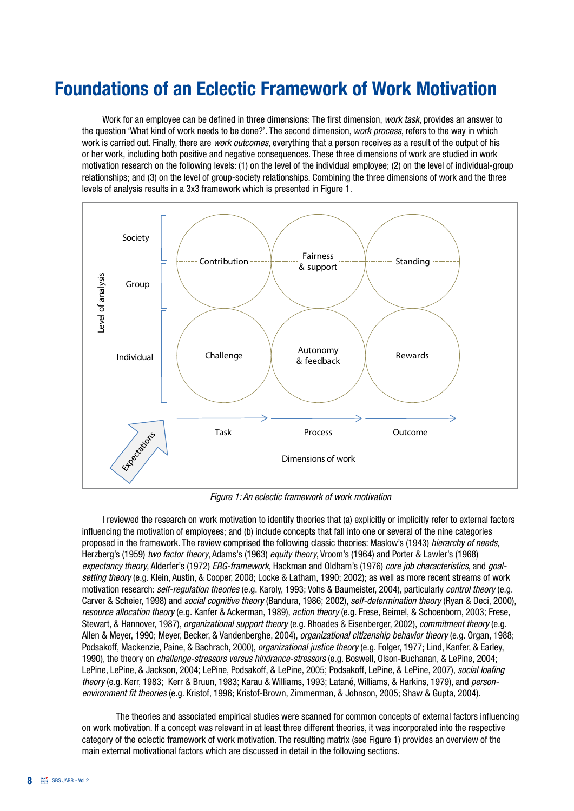## Foundations of an Eclectic Framework of Work Motivation

Work for an employee can be defined in three dimensions: The first dimension, *work task*, provides an answer to the question 'What kind of work needs to be done?'. The second dimension, *work process*, refers to the way in which work is carried out. Finally, there are *work outcomes*, everything that a person receives as a result of the output of his or her work, including both positive and negative consequences. These three dimensions of work are studied in work motivation research on the following levels: (1) on the level of the individual employee; (2) on the level of individual-group relationships; and (3) on the level of group-society relationships. Combining the three dimensions of work and the three levels of analysis results in a 3x3 framework which is presented in Figure 1.



*Figure 1: An eclectic framework of work motivation*

 I reviewed the research on work motivation to identify theories that (a) explicitly or implicitly refer to external factors influencing the motivation of employees; and (b) include concepts that fall into one or several of the nine categories proposed in the framework. The review comprised the following classic theories: Maslow's (1943) *hierarchy of needs*, Herzberg's (1959) *two factor theory*, Adams's (1963) *equity theory*, Vroom's (1964) and Porter & Lawler's (1968) *expectancy theory*, Alderfer's (1972) *ERG-framework*, Hackman and Oldham's (1976) *core job characteristics*, and *goalsetting theory* (e.g. Klein, Austin, & Cooper, 2008; Locke & Latham, 1990; 2002); as well as more recent streams of work motivation research: *self-regulation theories* (e.g. Karoly, 1993; Vohs & Baumeister, 2004), particularly *control theory* (e.g. Carver & Scheier, 1998) and *social cognitive theory* (Bandura, 1986; 2002), *self-determination theory* (Ryan & Deci, 2000), *resource allocation theory* (e.g. Kanfer & Ackerman, 1989), *action theory* (e.g. Frese, Beimel, & Schoenborn, 2003; Frese, Stewart, & Hannover, 1987), *organizational support theory* (e.g. Rhoades & Eisenberger, 2002), *commitment theory* (e.g. Allen & Meyer, 1990; Meyer, Becker, & Vandenberghe, 2004), *organizational citizenship behavior theory* (e.g. Organ, 1988; Podsakoff, Mackenzie, Paine, & Bachrach, 2000), *organizational justice theory* (e.g. Folger, 1977; Lind, Kanfer, & Earley, 1990), the theory on *challenge-stressors versus hindrance-stressors* (e.g. Boswell, Olson-Buchanan, & LePine, 2004; LePine, LePine, & Jackson, 2004; LePine, Podsakoff, & LePine, 2005; Podsakoff, LePine, & LePine, 2007), *social loafing theory* (e.g. Kerr, 1983; Kerr & Bruun, 1983; Karau & Williams, 1993; Latané, Williams, & Harkins, 1979), and *personenvironment fit theories* (e.g. Kristof, 1996; Kristof-Brown, Zimmerman, & Johnson, 2005; Shaw & Gupta, 2004).

The theories and associated empirical studies were scanned for common concepts of external factors influencing on work motivation. If a concept was relevant in at least three different theories, it was incorporated into the respective category of the eclectic framework of work motivation. The resulting matrix (see Figure 1) provides an overview of the main external motivational factors which are discussed in detail in the following sections.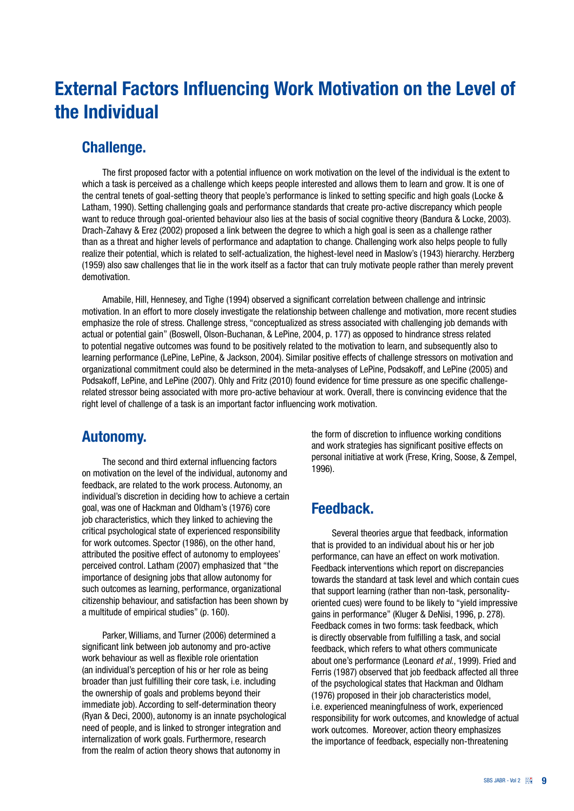## External Factors Influencing Work Motivation on the Level of the Individual

### Challenge.

The first proposed factor with a potential influence on work motivation on the level of the individual is the extent to which a task is perceived as a challenge which keeps people interested and allows them to learn and grow. It is one of the central tenets of goal-setting theory that people's performance is linked to setting specific and high goals (Locke & Latham, 1990). Setting challenging goals and performance standards that create pro-active discrepancy which people want to reduce through goal-oriented behaviour also lies at the basis of social cognitive theory (Bandura & Locke, 2003). Drach-Zahavy & Erez (2002) proposed a link between the degree to which a high goal is seen as a challenge rather than as a threat and higher levels of performance and adaptation to change. Challenging work also helps people to fully realize their potential, which is related to self-actualization, the highest-level need in Maslow's (1943) hierarchy. Herzberg (1959) also saw challenges that lie in the work itself as a factor that can truly motivate people rather than merely prevent demotivation.

 Amabile, Hill, Hennesey, and Tighe (1994) observed a significant correlation between challenge and intrinsic motivation. In an effort to more closely investigate the relationship between challenge and motivation, more recent studies emphasize the role of stress. Challenge stress, "conceptualized as stress associated with challenging job demands with actual or potential gain" (Boswell, Olson-Buchanan, & LePine, 2004, p. 177) as opposed to hindrance stress related to potential negative outcomes was found to be positively related to the motivation to learn, and subsequently also to learning performance (LePine, LePine, & Jackson, 2004). Similar positive effects of challenge stressors on motivation and organizational commitment could also be determined in the meta-analyses of LePine, Podsakoff, and LePine (2005) and Podsakoff, LePine, and LePine (2007). Ohly and Fritz (2010) found evidence for time pressure as one specific challengerelated stressor being associated with more pro-active behaviour at work. Overall, there is convincing evidence that the right level of challenge of a task is an important factor influencing work motivation.

### Autonomy.

The second and third external influencing factors on motivation on the level of the individual, autonomy and feedback, are related to the work process. Autonomy, an individual's discretion in deciding how to achieve a certain goal, was one of Hackman and Oldham's (1976) core job characteristics, which they linked to achieving the critical psychological state of experienced responsibility for work outcomes. Spector (1986), on the other hand, attributed the positive effect of autonomy to employees' perceived control. Latham (2007) emphasized that "the importance of designing jobs that allow autonomy for such outcomes as learning, performance, organizational citizenship behaviour, and satisfaction has been shown by a multitude of empirical studies" (p. 160).

 Parker, Williams, and Turner (2006) determined a significant link between job autonomy and pro-active work behaviour as well as flexible role orientation (an individual's perception of his or her role as being broader than just fulfilling their core task, i.e. including the ownership of goals and problems beyond their immediate job). According to self-determination theory (Ryan & Deci, 2000), autonomy is an innate psychological need of people, and is linked to stronger integration and internalization of work goals. Furthermore, research from the realm of action theory shows that autonomy in

the form of discretion to influence working conditions and work strategies has significant positive effects on personal initiative at work (Frese, Kring, Soose, & Zempel, 1996).

### Feedback.

Several theories argue that feedback, information that is provided to an individual about his or her job performance, can have an effect on work motivation. Feedback interventions which report on discrepancies towards the standard at task level and which contain cues that support learning (rather than non-task, personalityoriented cues) were found to be likely to "yield impressive gains in performance" (Kluger & DeNisi, 1996, p. 278). Feedback comes in two forms: task feedback, which is directly observable from fulfilling a task, and social feedback, which refers to what others communicate about one's performance (Leonard *et al*., 1999). Fried and Ferris (1987) observed that job feedback affected all three of the psychological states that Hackman and Oldham (1976) proposed in their job characteristics model, i.e. experienced meaningfulness of work, experienced responsibility for work outcomes, and knowledge of actual work outcomes. Moreover, action theory emphasizes the importance of feedback, especially non-threatening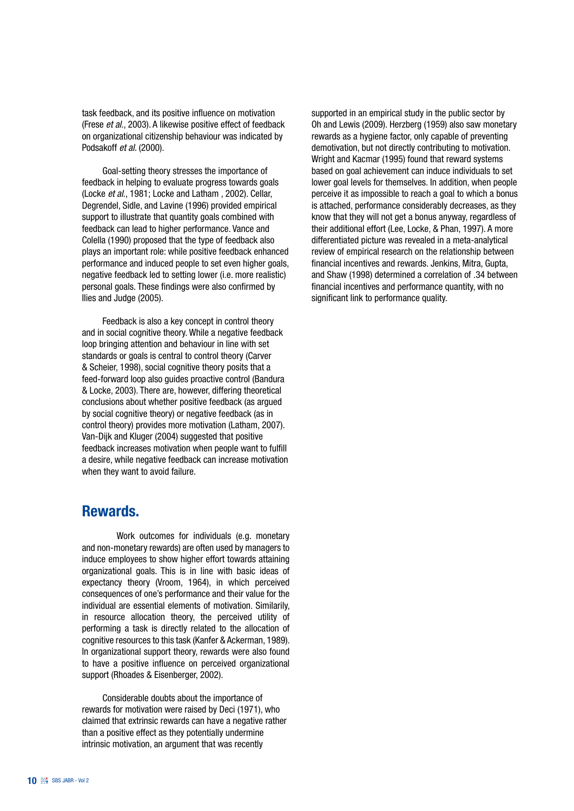task feedback, and its positive influence on motivation (Frese *et al*., 2003). A likewise positive effect of feedback on organizational citizenship behaviour was indicated by Podsakoff *et al*. (2000).

Goal-setting theory stresses the importance of feedback in helping to evaluate progress towards goals (Locke *et al*., 1981; Locke and Latham , 2002). Cellar, Degrendel, Sidle, and Lavine (1996) provided empirical support to illustrate that quantity goals combined with feedback can lead to higher performance. Vance and Colella (1990) proposed that the type of feedback also plays an important role: while positive feedback enhanced performance and induced people to set even higher goals, negative feedback led to setting lower (i.e. more realistic) personal goals. These findings were also confirmed by Ilies and Judge (2005).

 Feedback is also a key concept in control theory and in social cognitive theory. While a negative feedback loop bringing attention and behaviour in line with set standards or goals is central to control theory (Carver & Scheier, 1998), social cognitive theory posits that a feed-forward loop also guides proactive control (Bandura & Locke, 2003). There are, however, differing theoretical conclusions about whether positive feedback (as argued by social cognitive theory) or negative feedback (as in control theory) provides more motivation (Latham, 2007). Van-Dijk and Kluger (2004) suggested that positive feedback increases motivation when people want to fulfill a desire, while negative feedback can increase motivation when they want to avoid failure.

### Rewards.

Work outcomes for individuals (e.g. monetary and non-monetary rewards) are often used by managers to induce employees to show higher effort towards attaining organizational goals. This is in line with basic ideas of expectancy theory (Vroom, 1964), in which perceived consequences of one's performance and their value for the individual are essential elements of motivation. Similarily, in resource allocation theory, the perceived utility of performing a task is directly related to the allocation of cognitive resources to this task (Kanfer & Ackerman, 1989). In organizational support theory, rewards were also found to have a positive influence on perceived organizational support (Rhoades & Eisenberger, 2002).

 Considerable doubts about the importance of rewards for motivation were raised by Deci (1971), who claimed that extrinsic rewards can have a negative rather than a positive effect as they potentially undermine intrinsic motivation, an argument that was recently

supported in an empirical study in the public sector by Oh and Lewis (2009). Herzberg (1959) also saw monetary rewards as a hygiene factor, only capable of preventing demotivation, but not directly contributing to motivation. Wright and Kacmar (1995) found that reward systems based on goal achievement can induce individuals to set lower goal levels for themselves. In addition, when people perceive it as impossible to reach a goal to which a bonus is attached, performance considerably decreases, as they know that they will not get a bonus anyway, regardless of their additional effort (Lee, Locke, & Phan, 1997). A more differentiated picture was revealed in a meta-analytical review of empirical research on the relationship between financial incentives and rewards. Jenkins, Mitra, Gupta, and Shaw (1998) determined a correlation of .34 between financial incentives and performance quantity, with no significant link to performance quality.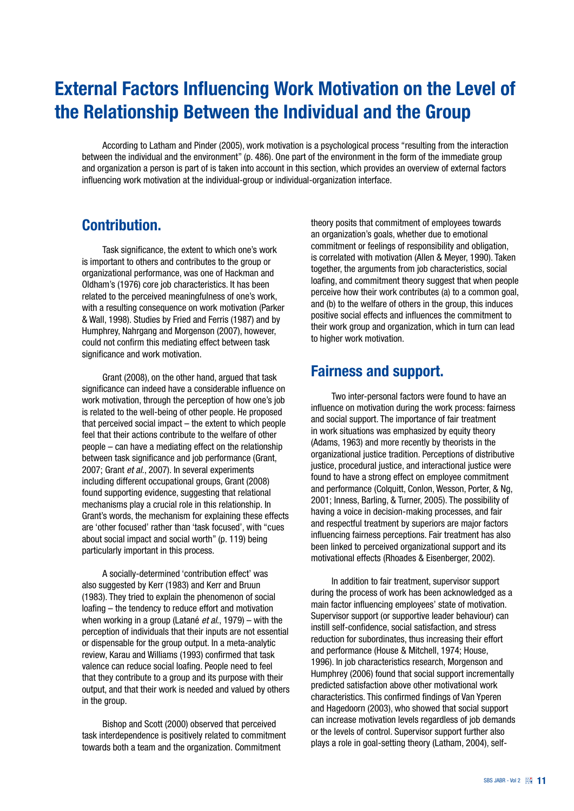## External Factors Influencing Work Motivation on the Level of the Relationship Between the Individual and the Group

 According to Latham and Pinder (2005), work motivation is a psychological process "resulting from the interaction between the individual and the environment" (p. 486). One part of the environment in the form of the immediate group and organization a person is part of is taken into account in this section, which provides an overview of external factors influencing work motivation at the individual-group or individual-organization interface.

### Contribution.

Task significance, the extent to which one's work is important to others and contributes to the group or organizational performance, was one of Hackman and Oldham's (1976) core job characteristics. It has been related to the perceived meaningfulness of one's work, with a resulting consequence on work motivation (Parker & Wall, 1998). Studies by Fried and Ferris (1987) and by Humphrey, Nahrgang and Morgenson (2007), however, could not confirm this mediating effect between task significance and work motivation.

Grant (2008), on the other hand, argued that task significance can indeed have a considerable influence on work motivation, through the perception of how one's job is related to the well-being of other people. He proposed that perceived social impact – the extent to which people feel that their actions contribute to the welfare of other people – can have a mediating effect on the relationship between task significance and job performance (Grant, 2007; Grant *et al*., 2007). In several experiments including different occupational groups, Grant (2008) found supporting evidence, suggesting that relational mechanisms play a crucial role in this relationship. In Grant's words, the mechanism for explaining these effects are 'other focused' rather than 'task focused', with "cues about social impact and social worth" (p. 119) being particularly important in this process.

 A socially-determined 'contribution effect' was also suggested by Kerr (1983) and Kerr and Bruun (1983). They tried to explain the phenomenon of social loafing – the tendency to reduce effort and motivation when working in a group (Latané *et al*., 1979) – with the perception of individuals that their inputs are not essential or dispensable for the group output. In a meta-analytic review, Karau and Williams (1993) confirmed that task valence can reduce social loafing. People need to feel that they contribute to a group and its purpose with their output, and that their work is needed and valued by others in the group.

Bishop and Scott (2000) observed that perceived task interdependence is positively related to commitment towards both a team and the organization. Commitment

theory posits that commitment of employees towards an organization's goals, whether due to emotional commitment or feelings of responsibility and obligation, is correlated with motivation (Allen & Meyer, 1990). Taken together, the arguments from job characteristics, social loafing, and commitment theory suggest that when people perceive how their work contributes (a) to a common goal, and (b) to the welfare of others in the group, this induces positive social effects and influences the commitment to their work group and organization, which in turn can lead to higher work motivation.

### Fairness and support.

Two inter-personal factors were found to have an influence on motivation during the work process: fairness and social support. The importance of fair treatment in work situations was emphasized by equity theory (Adams, 1963) and more recently by theorists in the organizational justice tradition. Perceptions of distributive justice, procedural justice, and interactional justice were found to have a strong effect on employee commitment and performance (Colquitt, Conlon, Wesson, Porter, & Ng, 2001; Inness, Barling, & Turner, 2005). The possibility of having a voice in decision-making processes, and fair and respectful treatment by superiors are major factors influencing fairness perceptions. Fair treatment has also been linked to perceived organizational support and its motivational effects (Rhoades & Eisenberger, 2002).

 In addition to fair treatment, supervisor support during the process of work has been acknowledged as a main factor influencing employees' state of motivation. Supervisor support (or supportive leader behaviour) can instill self-confidence, social satisfaction, and stress reduction for subordinates, thus increasing their effort and performance (House & Mitchell, 1974; House, 1996). In job characteristics research, Morgenson and Humphrey (2006) found that social support incrementally predicted satisfaction above other motivational work characteristics. This confirmed findings of Van Yperen and Hagedoorn (2003), who showed that social support can increase motivation levels regardless of job demands or the levels of control. Supervisor support further also plays a role in goal-setting theory (Latham, 2004), self-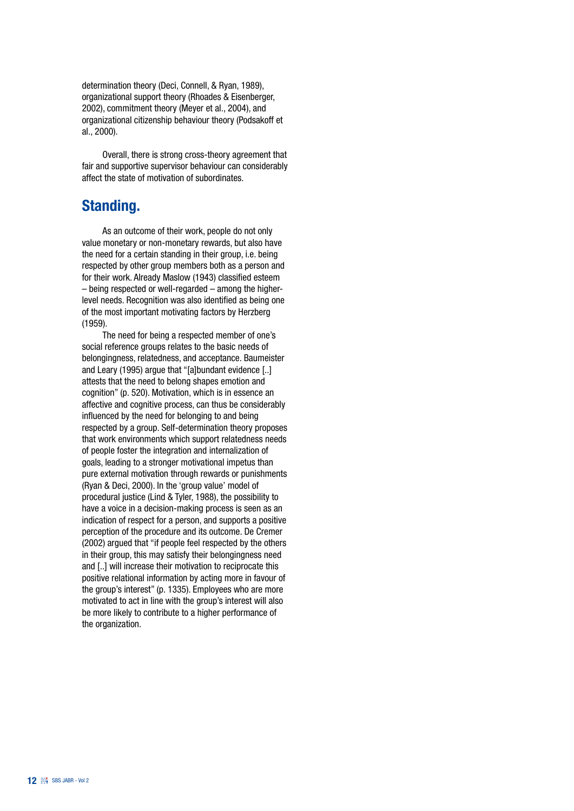determination theory (Deci, Connell, & Ryan, 1989), organizational support theory (Rhoades & Eisenberger, 2002), commitment theory (Meyer et al., 2004), and organizational citizenship behaviour theory (Podsakoff et al., 2000).

Overall, there is strong cross-theory agreement that fair and supportive supervisor behaviour can considerably affect the state of motivation of subordinates.

### Standing.

 As an outcome of their work, people do not only value monetary or non-monetary rewards, but also have the need for a certain standing in their group, i.e. being respected by other group members both as a person and for their work. Already Maslow (1943) classified esteem – being respected or well-regarded – among the higherlevel needs. Recognition was also identified as being one of the most important motivating factors by Herzberg (1959).

The need for being a respected member of one's social reference groups relates to the basic needs of belongingness, relatedness, and acceptance. Baumeister and Leary (1995) argue that "[a]bundant evidence [..] attests that the need to belong shapes emotion and cognition" (p. 520). Motivation, which is in essence an affective and cognitive process, can thus be considerably influenced by the need for belonging to and being respected by a group. Self-determination theory proposes that work environments which support relatedness needs of people foster the integration and internalization of goals, leading to a stronger motivational impetus than pure external motivation through rewards or punishments (Ryan & Deci, 2000). In the 'group value' model of procedural justice (Lind & Tyler, 1988), the possibility to have a voice in a decision-making process is seen as an indication of respect for a person, and supports a positive perception of the procedure and its outcome. De Cremer (2002) argued that "if people feel respected by the others in their group, this may satisfy their belongingness need and [..] will increase their motivation to reciprocate this positive relational information by acting more in favour of the group's interest" (p. 1335). Employees who are more motivated to act in line with the group's interest will also be more likely to contribute to a higher performance of the organization.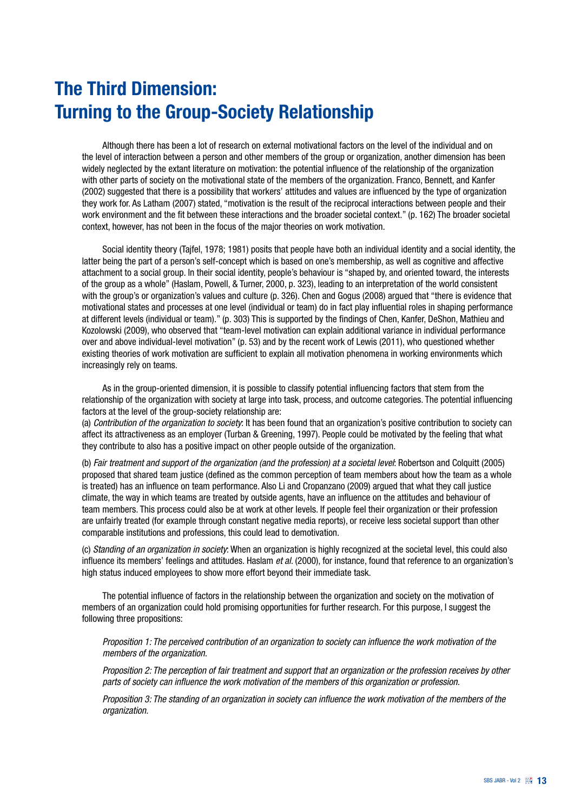## The Third Dimension: Turning to the Group-Society Relationship

 Although there has been a lot of research on external motivational factors on the level of the individual and on the level of interaction between a person and other members of the group or organization, another dimension has been widely neglected by the extant literature on motivation: the potential influence of the relationship of the organization with other parts of society on the motivational state of the members of the organization. Franco, Bennett, and Kanfer (2002) suggested that there is a possibility that workers' attitudes and values are influenced by the type of organization they work for. As Latham (2007) stated, "motivation is the result of the reciprocal interactions between people and their work environment and the fit between these interactions and the broader societal context." (p. 162) The broader societal context, however, has not been in the focus of the major theories on work motivation.

Social identity theory (Tajfel, 1978; 1981) posits that people have both an individual identity and a social identity, the latter being the part of a person's self-concept which is based on one's membership, as well as cognitive and affective attachment to a social group. In their social identity, people's behaviour is "shaped by, and oriented toward, the interests of the group as a whole" (Haslam, Powell, & Turner, 2000, p. 323), leading to an interpretation of the world consistent with the group's or organization's values and culture (p. 326). Chen and Gogus (2008) argued that "there is evidence that motivational states and processes at one level (individual or team) do in fact play influential roles in shaping performance at different levels (individual or team)." (p. 303) This is supported by the findings of Chen, Kanfer, DeShon, Mathieu and Kozolowski (2009), who observed that "team-level motivation can explain additional variance in individual performance over and above individual-level motivation" (p. 53) and by the recent work of Lewis (2011), who questioned whether existing theories of work motivation are sufficient to explain all motivation phenomena in working environments which increasingly rely on teams.

 As in the group-oriented dimension, it is possible to classify potential influencing factors that stem from the relationship of the organization with society at large into task, process, and outcome categories. The potential influencing factors at the level of the group-society relationship are:

(a) *Contribution of the organization to society*: It has been found that an organization's positive contribution to society can affect its attractiveness as an employer (Turban & Greening, 1997). People could be motivated by the feeling that what they contribute to also has a positive impact on other people outside of the organization.

(b) *Fair treatment and support of the organization (and the profession) at a societal level*: Robertson and Colquitt (2005) proposed that shared team justice (defined as the common perception of team members about how the team as a whole is treated) has an influence on team performance. Also Li and Cropanzano (2009) argued that what they call justice climate, the way in which teams are treated by outside agents, have an influence on the attitudes and behaviour of team members. This process could also be at work at other levels. If people feel their organization or their profession are unfairly treated (for example through constant negative media reports), or receive less societal support than other comparable institutions and professions, this could lead to demotivation.

(c) *Standing of an organization in society*: When an organization is highly recognized at the societal level, this could also influence its members' feelings and attitudes. Haslam *et al*. (2000), for instance, found that reference to an organization's high status induced employees to show more effort beyond their immediate task.

The potential influence of factors in the relationship between the organization and society on the motivation of members of an organization could hold promising opportunities for further research. For this purpose, I suggest the following three propositions:

*Proposition 1: The perceived contribution of an organization to society can influence the work motivation of the members of the organization.*

*Proposition 2: The perception of fair treatment and support that an organization or the profession receives by other parts of society can influence the work motivation of the members of this organization or profession.*

*Proposition 3: The standing of an organization in society can influence the work motivation of the members of the organization.*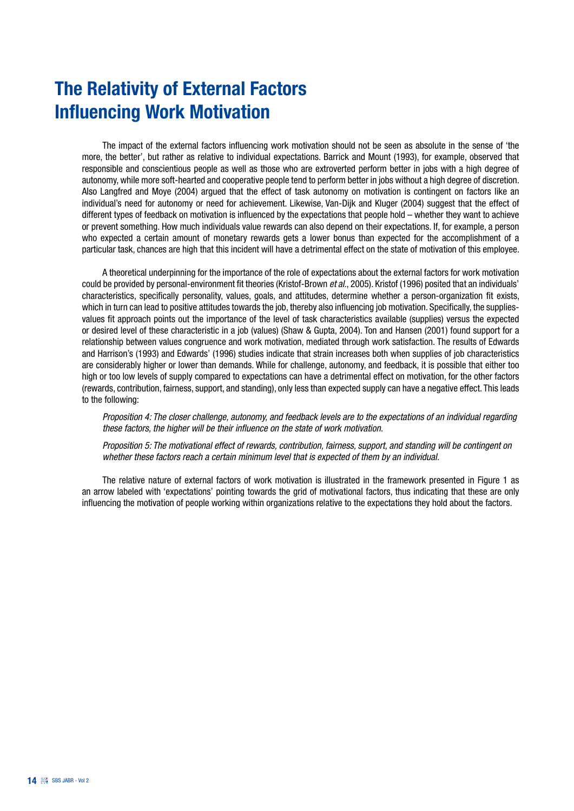## The Relativity of External Factors Influencing Work Motivation

The impact of the external factors influencing work motivation should not be seen as absolute in the sense of 'the more, the better', but rather as relative to individual expectations. Barrick and Mount (1993), for example, observed that responsible and conscientious people as well as those who are extroverted perform better in jobs with a high degree of autonomy, while more soft-hearted and cooperative people tend to perform better in jobs without a high degree of discretion. Also Langfred and Moye (2004) argued that the effect of task autonomy on motivation is contingent on factors like an individual's need for autonomy or need for achievement. Likewise, Van-Dijk and Kluger (2004) suggest that the effect of different types of feedback on motivation is influenced by the expectations that people hold – whether they want to achieve or prevent something. How much individuals value rewards can also depend on their expectations. If, for example, a person who expected a certain amount of monetary rewards gets a lower bonus than expected for the accomplishment of a particular task, chances are high that this incident will have a detrimental effect on the state of motivation of this employee.

A theoretical underpinning for the importance of the role of expectations about the external factors for work motivation could be provided by personal-environment fit theories (Kristof-Brown *et al.*, 2005). Kristof (1996) posited that an individuals' characteristics, specifically personality, values, goals, and attitudes, determine whether a person-organization fit exists, which in turn can lead to positive attitudes towards the job, thereby also influencing job motivation. Specifically, the suppliesvalues fit approach points out the importance of the level of task characteristics available (supplies) versus the expected or desired level of these characteristic in a job (values) (Shaw & Gupta, 2004). Ton and Hansen (2001) found support for a relationship between values congruence and work motivation, mediated through work satisfaction. The results of Edwards and Harrison's (1993) and Edwards' (1996) studies indicate that strain increases both when supplies of job characteristics are considerably higher or lower than demands. While for challenge, autonomy, and feedback, it is possible that either too high or too low levels of supply compared to expectations can have a detrimental effect on motivation, for the other factors (rewards, contribution, fairness, support, and standing), only less than expected supply can have a negative effect. This leads to the following:

*Proposition 4: The closer challenge, autonomy, and feedback levels are to the expectations of an individual regarding these factors, the higher will be their influence on the state of work motivation.*

*Proposition 5: The motivational effect of rewards, contribution, fairness, support, and standing will be contingent on whether these factors reach a certain minimum level that is expected of them by an individual.*

The relative nature of external factors of work motivation is illustrated in the framework presented in Figure 1 as an arrow labeled with 'expectations' pointing towards the grid of motivational factors, thus indicating that these are only influencing the motivation of people working within organizations relative to the expectations they hold about the factors.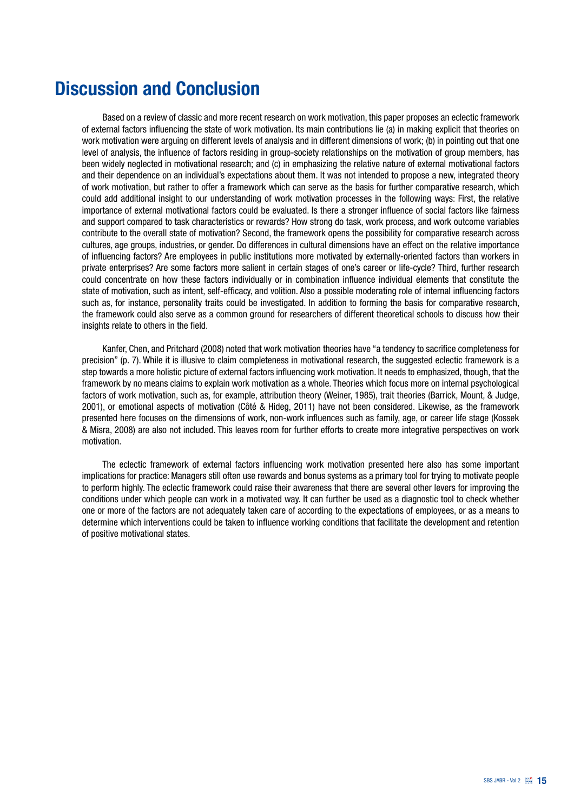## Discussion and Conclusion

Based on a review of classic and more recent research on work motivation, this paper proposes an eclectic framework of external factors influencing the state of work motivation. Its main contributions lie (a) in making explicit that theories on work motivation were arguing on different levels of analysis and in different dimensions of work; (b) in pointing out that one level of analysis, the influence of factors residing in group-society relationships on the motivation of group members, has been widely neglected in motivational research; and (c) in emphasizing the relative nature of external motivational factors and their dependence on an individual's expectations about them. It was not intended to propose a new, integrated theory of work motivation, but rather to offer a framework which can serve as the basis for further comparative research, which could add additional insight to our understanding of work motivation processes in the following ways: First, the relative importance of external motivational factors could be evaluated. Is there a stronger influence of social factors like fairness and support compared to task characteristics or rewards? How strong do task, work process, and work outcome variables contribute to the overall state of motivation? Second, the framework opens the possibility for comparative research across cultures, age groups, industries, or gender. Do differences in cultural dimensions have an effect on the relative importance of influencing factors? Are employees in public institutions more motivated by externally-oriented factors than workers in private enterprises? Are some factors more salient in certain stages of one's career or life-cycle? Third, further research could concentrate on how these factors individually or in combination influence individual elements that constitute the state of motivation, such as intent, self-efficacy, and volition. Also a possible moderating role of internal influencing factors such as, for instance, personality traits could be investigated. In addition to forming the basis for comparative research, the framework could also serve as a common ground for researchers of different theoretical schools to discuss how their insights relate to others in the field.

Kanfer, Chen, and Pritchard (2008) noted that work motivation theories have "a tendency to sacrifice completeness for precision" (p. 7). While it is illusive to claim completeness in motivational research, the suggested eclectic framework is a step towards a more holistic picture of external factors influencing work motivation. It needs to emphasized, though, that the framework by no means claims to explain work motivation as a whole. Theories which focus more on internal psychological factors of work motivation, such as, for example, attribution theory (Weiner, 1985), trait theories (Barrick, Mount, & Judge, 2001), or emotional aspects of motivation (Côté & Hideg, 2011) have not been considered. Likewise, as the framework presented here focuses on the dimensions of work, non-work influences such as family, age, or career life stage (Kossek & Misra, 2008) are also not included. This leaves room for further efforts to create more integrative perspectives on work motivation.

The eclectic framework of external factors influencing work motivation presented here also has some important implications for practice: Managers still often use rewards and bonus systems as a primary tool for trying to motivate people to perform highly. The eclectic framework could raise their awareness that there are several other levers for improving the conditions under which people can work in a motivated way. It can further be used as a diagnostic tool to check whether one or more of the factors are not adequately taken care of according to the expectations of employees, or as a means to determine which interventions could be taken to influence working conditions that facilitate the development and retention of positive motivational states.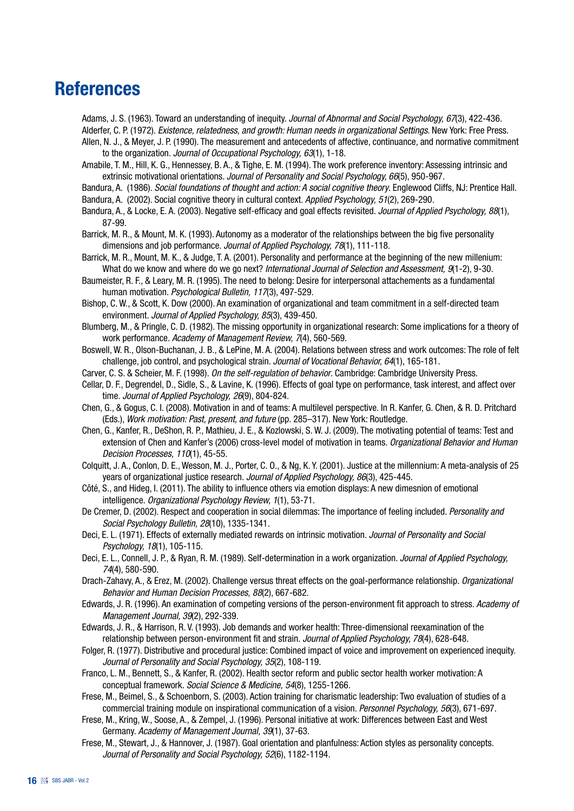## References

Adams, J. S. (1963). Toward an understanding of inequity. *Journal of Abnormal and Social Psychology, 67*(3), 422-436. Alderfer, C. P. (1972). *Existence, relatedness, and growth: Human needs in organizational Settings*. New York: Free Press.

- Allen, N. J., & Meyer, J. P. (1990). The measurement and antecedents of affective, continuance, and normative commitment to the organization. *Journal of Occupational Psychology, 63*(1), 1-18.
- Amabile, T. M., Hill, K. G., Hennessey, B. A., & Tighe, E. M. (1994). The work preference inventory: Assessing intrinsic and extrinsic motivational orientations*. Journal of Personality and Social Psychology, 66*(5), 950-967.

Bandura, A. (1986). *Social foundations of thought and action: A social cognitive theory*. Englewood Cliffs, NJ: Prentice Hall.

- Bandura, A. (2002). Social cognitive theory in cultural context. *Applied Psychology, 51*(2), 269-290.
- Bandura, A., & Locke, E. A. (2003). Negative self-efficacy and goal effects revisited. *Journal of Applied Psychology, 88*(1), 87-99.
- Barrick, M. R., & Mount, M. K. (1993). Autonomy as a moderator of the relationships between the big five personality dimensions and job performance. *Journal of Applied Psychology, 78*(1), 111-118.
- Barrick, M. R., Mount, M. K., & Judge, T. A. (2001). Personality and performance at the beginning of the new millenium: What do we know and where do we go next? *International Journal of Selection and Assessment, 9*(1-2), 9-30.
- Baumeister, R. F., & Leary, M. R. (1995). The need to belong: Desire for interpersonal attachements as a fundamental human motivation. *Psychological Bulletin, 117*(3), 497-529.
- Bishop, C. W., & Scott, K. Dow (2000). An examination of organizational and team commitment in a self-directed team environment. *Journal of Applied Psychology, 85*(3), 439-450.
- Blumberg, M., & Pringle, C. D. (1982). The missing opportunity in organizational research: Some implications for a theory of work performance. *Academy of Management Review, 7*(4), 560-569.
- Boswell, W. R., Olson-Buchanan, J. B., & LePine, M. A. (2004). Relations between stress and work outcomes: The role of felt challenge, job control, and psychological strain. *Journal of Vocational Behavior, 64*(1), 165-181.
- Carver, C. S. & Scheier, M. F. (1998). *On the self-regulation of behavior*. Cambridge: Cambridge University Press.
- Cellar, D. F., Degrendel, D., Sidle, S., & Lavine, K. (1996). Effects of goal type on performance, task interest, and affect over time. *Journal of Applied Psychology, 26*(9), 804-824.
- Chen, G., & Gogus, C. I. (2008). Motivation in and of teams: A multilevel perspective. In R. Kanfer, G. Chen, & R. D. Pritchard (Eds.), *Work motivation: Past, present, and future* (pp. 285–317). New York: Routledge.
- Chen, G., Kanfer, R., DeShon, R. P., Mathieu, J. E., & Kozlowski, S. W. J. (2009). The motivating potential of teams: Test and extension of Chen and Kanfer's (2006) cross-level model of motivation in teams. *Organizational Behavior and Human Decision Processes, 110*(1), 45-55.
- Colquitt, J. A., Conlon, D. E., Wesson, M. J., Porter, C. O., & Ng, K. Y. (2001). Justice at the millennium: A meta-analysis of 25 years of organizational justice research. *Journal of Applied Psychology, 86*(3), 425-445.
- Côté, S., and Hideg, I. (2011). The ability to influence others via emotion displays: A new dimesnion of emotional intelligence. *Organizational Psychology Review, 1*(1), 53-71.
- De Cremer, D. (2002). Respect and cooperation in social dilemmas: The importance of feeling included. *Personality and Social Psychology Bulletin, 28*(10), 1335-1341.
- Deci, E. L. (1971). Effects of externally mediated rewards on intrinsic motivation. *Journal of Personality and Social Psychology, 18*(1), 105-115.
- Deci, E. L., Connell, J. P., & Ryan, R. M. (1989). Self-determination in a work organization. *Journal of Applied Psychology, 74*(4), 580-590.
- Drach-Zahavy, A., & Erez, M. (2002). Challenge versus threat effects on the goal-performance relationship. *Organizational Behavior and Human Decision Processes, 88*(2), 667-682.
- Edwards, J. R. (1996). An examination of competing versions of the person-environment fit approach to stress. *Academy of Management Journal, 39*(2), 292-339.
- Edwards, J. R., & Harrison, R. V. (1993). Job demands and worker health: Three-dimensional reexamination of the relationship between person-environment fit and strain. *Journal of Applied Psychology, 78*(4), 628-648.
- Folger, R. (1977). Distributive and procedural justice: Combined impact of voice and improvement on experienced inequity. *Journal of Personality and Social Psychology, 35*(2), 108-119.
- Franco, L. M., Bennett, S., & Kanfer, R. (2002). Health sector reform and public sector health worker motivation: A conceptual framework. *Social Science & Medicine, 54*(8), 1255-1266.
- Frese, M., Beimel, S., & Schoenborn, S. (2003). Action training for charismatic leadership: Two evaluation of studies of a commercial training module on inspirational communication of a vision. *Personnel Psychology, 56*(3), 671-697.
- Frese, M., Kring, W., Soose, A., & Zempel, J. (1996). Personal initiative at work: Differences between East and West Germany. *Academy of Management Journal, 39*(1), 37-63.
- Frese, M., Stewart, J., & Hannover, J. (1987). Goal orientation and planfulness: Action styles as personality concepts. *Journal of Personality and Social Psychology, 52*(6), 1182-1194.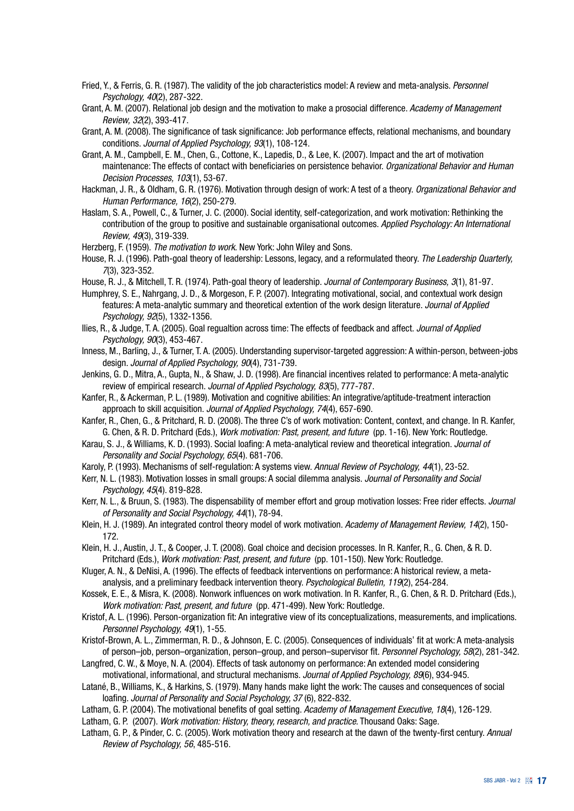- Fried, Y., & Ferris, G. R. (1987). The validity of the job characteristics model: A review and meta-analysis. *Personnel Psychology, 40*(2), 287-322.
- Grant, A. M. (2007). Relational job design and the motivation to make a prosocial difference. *Academy of Management Review, 32*(2), 393-417.
- Grant, A. M. (2008). The significance of task significance: Job performance effects, relational mechanisms, and boundary conditions. *Journal of Applied Psychology, 93*(1), 108-124.
- Grant, A. M., Campbell, E. M., Chen, G., Cottone, K., Lapedis, D., & Lee, K. (2007). Impact and the art of motivation maintenance: The effects of contact with beneficiaries on persistence behavior. *Organizational Behavior and Human Decision Processes, 103*(1), 53-67.
- Hackman, J. R., & Oldham, G. R. (1976). Motivation through design of work: A test of a theory. *Organizational Behavior and Human Performance, 16*(2), 250-279.
- Haslam, S. A., Powell, C., & Turner, J. C. (2000). Social identity, self-categorization, and work motivation: Rethinking the contribution of the group to positive and sustainable organisational outcomes. *Applied Psychology: An International Review, 49*(3), 319-339.

Herzberg, F. (1959). *The motivation to work*. New York: John Wiley and Sons.

- House, R. J. (1996). Path-goal theory of leadership: Lessons, legacy, and a reformulated theory. *The Leadership Quarterly, 7*(3), 323-352.
- House, R. J., & Mitchell, T. R. (1974). Path-goal theory of leadership. *Journal of Contemporary Business, 3*(1), 81-97.
- Humphrey, S. E., Nahrgang, J. D., & Morgeson, F. P. (2007). Integrating motivational, social, and contextual work design features: A meta-analytic summary and theoretical extention of the work design literature. *Journal of Applied Psychology, 92*(5), 1332-1356.
- Ilies, R., & Judge, T. A. (2005). Goal regualtion across time: The effects of feedback and affect. *Journal of Applied Psychology, 90*(3), 453-467.
- Inness, M., Barling, J., & Turner, T. A. (2005). Understanding supervisor-targeted aggression: A within-person, between-jobs design. *Journal of Applied Psychology, 90*(4), 731-739.
- Jenkins, G. D., Mitra, A., Gupta, N., & Shaw, J. D. (1998). Are financial incentives related to performance: A meta-analytic review of empirical research. *Journal of Applied Psychology, 83*(5), 777-787.
- Kanfer, R., & Ackerman, P. L. (1989). Motivation and cognitive abilities: An integrative/aptitude-treatment interaction approach to skill acquisition. *Journal of Applied Psychology, 74*(4), 657-690.
- Kanfer, R., Chen, G., & Pritchard, R. D. (2008). The three C's of work motivation: Content, context, and change. In R. Kanfer, G. Chen, & R. D. Pritchard (Eds.), *Work motivation: Past, present, and future* (pp. 1-16). New York: Routledge.
- Karau, S. J., & Williams, K. D. (1993). Social loafing: A meta-analytical review and theoretical integration. *Journal of Personality and Social Psychology, 65*(4). 681-706.
- Karoly, P. (1993). Mechanisms of self-regulation: A systems view. *Annual Review of Psychology, 44*(1), 23-52.
- Kerr, N. L. (1983). Motivation losses in small groups: A social dilemma analysis. *Journal of Personality and Social Psychology, 45*(4). 819-828.
- Kerr, N. L., & Bruun, S. (1983). The dispensability of member effort and group motivation losses: Free rider effects. *Journal of Personality and Social Psychology, 44*(1), 78-94.
- Klein, H. J. (1989). An integrated control theory model of work motivation. *Academy of Management Review, 14*(2), 150- 172.
- Klein, H. J., Austin, J. T., & Cooper, J. T. (2008). Goal choice and decision processes. In R. Kanfer, R., G. Chen, & R. D. Pritchard (Eds.), *Work motivation: Past, present, and future* (pp. 101-150). New York: Routledge.
- Kluger, A. N., & DeNisi, A. (1996). The effects of feedback interventions on performance: A historical review, a metaanalysis, and a preliminary feedback intervention theory. *Psychological Bulletin, 119*(2), 254-284.
- Kossek, E. E., & Misra, K. (2008). Nonwork influences on work motivation. In R. Kanfer, R., G. Chen, & R. D. Pritchard (Eds.), *Work motivation: Past, present, and future* (pp. 471-499). New York: Routledge.
- Kristof, A. L. (1996). Person-organization fit: An integrative view of its conceptualizations, measurements, and implications. *Personnel Psychology, 49*(1), 1-55.
- Kristof-Brown, A. L., Zimmerman, R. D., & Johnson, E. C. (2005). Consequences of individuals' fit at work: A meta-analysis of person–job, person–organization, person–group, and person–supervisor fit. *Personnel Psychology, 58*(2), 281-342.
- Langfred, C. W., & Moye, N. A. (2004). Effects of task autonomy on performance: An extended model considering motivational, informational, and structural mechanisms. *Journal of Applied Psychology, 89*(6), 934-945.
- Latané, B., Williams, K., & Harkins, S. (1979). Many hands make light the work: The causes and consequences of social loafing. *Journal of Personality and Social Psychology, 37* (6), 822-832.
- Latham, G. P. (2004). The motivational benefits of goal setting. *Academy of Management Executive, 18*(4), 126-129.
- Latham, G. P. (2007). *Work motivation: History, theory, research, and practice*. Thousand Oaks: Sage.
- Latham, G. P., & Pinder, C. C. (2005). Work motivation theory and research at the dawn of the twenty-first century. *Annual Review of Psychology, 56*, 485-516.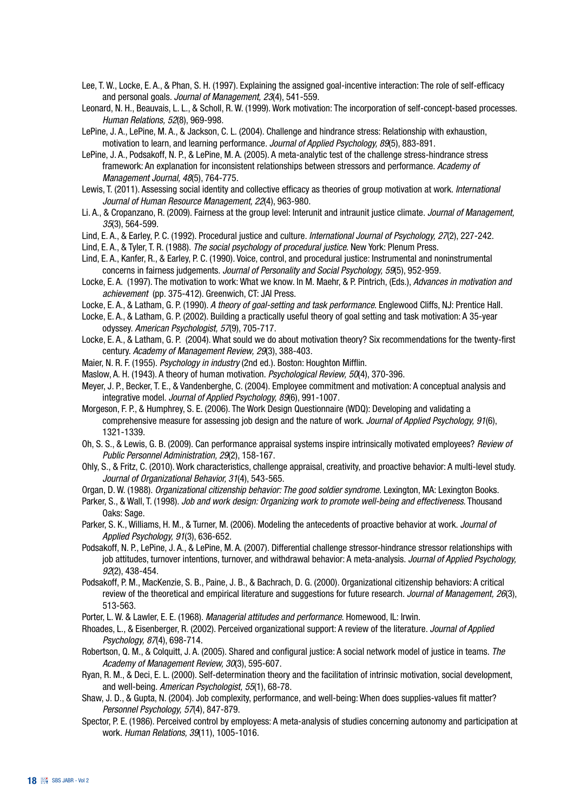- Lee, T. W., Locke, E. A., & Phan, S. H. (1997). Explaining the assigned goal-incentive interaction: The role of self-efficacy and personal goals. *Journal of Management, 23*(4), 541-559.
- Leonard, N. H., Beauvais, L. L., & Scholl, R. W. (1999). Work motivation: The incorporation of self-concept-based processes. *Human Relations, 52*(8), 969-998.
- LePine, J. A., LePine, M. A., & Jackson, C. L. (2004). Challenge and hindrance stress: Relationship with exhaustion, motivation to learn, and learning performance. *Journal of Applied Psychology, 89*(5), 883-891.
- LePine, J. A., Podsakoff, N. P., & LePine, M. A. (2005). A meta-analytic test of the challenge stress-hindrance stress framework: An explanation for inconsistent relationships between stressors and performance. *Academy of Management Journal, 48*(5), 764-775.
- Lewis, T. (2011). Assessing social identity and collective efficacy as theories of group motivation at work. *International Journal of Human Resource Management, 22*(4), 963-980.
- Li. A., & Cropanzano, R. (2009). Fairness at the group level: Interunit and intraunit justice climate. *Journal of Management, 35*(3), 564-599.
- Lind, E. A., & Earley, P. C. (1992). Procedural justice and culture. *International Journal of Psychology, 27*(2), 227-242.
- Lind, E. A., & Tyler, T. R. (1988). *The social psychology of procedural justice*. New York: Plenum Press.
- Lind, E. A., Kanfer, R., & Earley, P. C. (1990). Voice, control, and procedural justice: Instrumental and noninstrumental concerns in fairness judgements. *Journal of Personality and Social Psychology, 59*(5), 952-959.
- Locke, E. A. (1997). The motivation to work: What we know. In M. Maehr, & P. Pintrich, (Eds.), *Advances in motivation and achievement* (pp. 375-412). Greenwich, CT: JAI Press.
- Locke, E. A., & Latham, G. P. (1990). *A theory of goal-setting and task performance*. Englewood Cliffs, NJ: Prentice Hall.
- Locke, E. A., & Latham, G. P. (2002). Building a practically useful theory of goal setting and task motivation: A 35-year odyssey. *American Psychologist, 57*(9), 705-717.
- Locke, E. A., & Latham, G. P. (2004). What sould we do about motivation theory? Six recommendations for the twenty-first century. *Academy of Management Review, 29*(3), 388-403.
- Maier, N. R. F. (1955). *Psychology in industry* (2nd ed.). Boston: Houghton Mifflin.
- Maslow, A. H. (1943). A theory of human motivation. *Psychological Review, 50*(4), 370-396.
- Meyer, J. P., Becker, T. E., & Vandenberghe, C. (2004). Employee commitment and motivation: A conceptual analysis and integrative model. *Journal of Applied Psychology, 89*(6), 991-1007.
- Morgeson, F. P., & Humphrey, S. E. (2006). The Work Design Questionnaire (WDQ): Developing and validating a comprehensive measure for assessing job design and the nature of work. *Journal of Applied Psychology, 91*(6), 1321-1339.
- Oh, S. S., & Lewis, G. B. (2009). Can performance appraisal systems inspire intrinsically motivated employees? *Review of Public Personnel Administration, 29*(2), 158-167.
- Ohly, S., & Fritz, C. (2010). Work characteristics, challenge appraisal, creativity, and proactive behavior: A multi-level study. *Journal of Organizational Behavior, 31*(4), 543-565.
- Organ, D. W. (1988). *Organizational citizenship behavior: The good soldier syndrome*. Lexington, MA: Lexington Books.
- Parker, S., & Wall, T. (1998). *Job and work design: Organizing work to promote well-being and effectiveness*. Thousand Oaks: Sage.
- Parker, S. K., Williams, H. M., & Turner, M. (2006). Modeling the antecedents of proactive behavior at work. *Journal of Applied Psychology, 91*(3), 636-652.
- Podsakoff, N. P., LePine, J. A., & LePine, M. A. (2007). Differential challenge stressor-hindrance stressor relationships with job attitudes, turnover intentions, turnover, and withdrawal behavior: A meta-analysis. *Journal of Applied Psychology, 92*(2), 438-454.
- Podsakoff, P. M., MacKenzie, S. B., Paine, J. B., & Bachrach, D. G. (2000). Organizational citizenship behaviors: A critical review of the theoretical and empirical literature and suggestions for future research. *Journal of Management, 26*(3), 513-563.
- Porter, L. W. & Lawler, E. E. (1968). *Managerial attitudes and performance*. Homewood, IL: Irwin.
- Rhoades, L., & Eisenberger, R. (2002). Perceived organizational support: A review of the literature. *Journal of Applied Psychology, 87*(4), 698-714.
- Robertson, Q. M., & Colquitt, J. A. (2005). Shared and configural justice: A social network model of justice in teams. *The Academy of Management Review, 30*(3), 595-607.
- Ryan, R. M., & Deci, E. L. (2000). Self-determination theory and the facilitation of intrinsic motivation, social development, and well-being. *American Psychologist, 55*(1), 68-78.
- Shaw, J. D., & Gupta, N. (2004). Job complexity, performance, and well-being: When does supplies-values fit matter? *Personnel Psychology, 57*(4), 847-879.
- Spector, P. E. (1986). Perceived control by employess: A meta-analysis of studies concerning autonomy and participation at work. *Human Relations, 39*(11), 1005-1016.